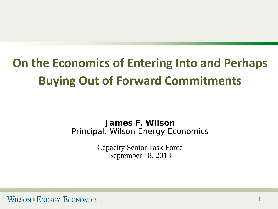# **On the Economics of Entering Into and Perhaps Buying Out of Forward Commitments**

**James F. Wilson** Principal, Wilson Energy Economics

> Capacity Senior Task Force September 18, 2013

> > 1

**WILSON & ENERGY ECONOMICS**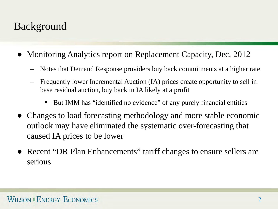## Background

- Monitoring Analytics report on Replacement Capacity, Dec. 2012
	- Notes that Demand Response providers buy back commitments at a higher rate
	- Frequently lower Incremental Auction (IA) prices create opportunity to sell in base residual auction, buy back in IA likely at a profit
		- But IMM has "identified no evidence" of any purely financial entities
- Changes to load forecasting methodology and more stable economic outlook may have eliminated the systematic over-forecasting that caused IA prices to be lower
- Recent "DR Plan Enhancements" tariff changes to ensure sellers are serious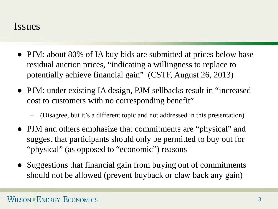#### Issues

- PJM: about 80% of IA buy bids are submitted at prices below base residual auction prices, "indicating a willingness to replace to potentially achieve financial gain" (CSTF, August 26, 2013)
- PJM: under existing IA design, PJM sellbacks result in "increased" cost to customers with no corresponding benefit"
	- (Disagree, but it's a different topic and not addressed in this presentation)
- PJM and others emphasize that commitments are "physical" and suggest that participants should only be permitted to buy out for "physical" (as opposed to "economic") reasons
- Suggestions that financial gain from buying out of commitments should not be allowed (prevent buyback or claw back any gain)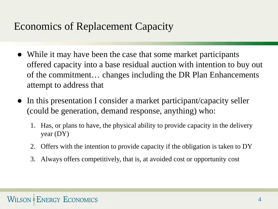# Economics of Replacement Capacity

- While it may have been the case that some market participants offered capacity into a base residual auction with intention to buy out of the commitment… changes including the DR Plan Enhancements attempt to address that
- In this presentation I consider a market participant/capacity seller (could be generation, demand response, anything) who:
	- 1. Has, or plans to have, the physical ability to provide capacity in the delivery year (DY)
	- 2. Offers with the intention to provide capacity if the obligation is taken to DY
	- 3. Always offers competitively, that is, at avoided cost or opportunity cost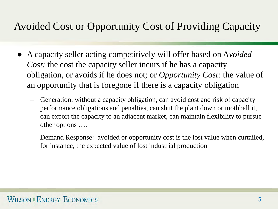# Avoided Cost or Opportunity Cost of Providing Capacity

- A capacity seller acting competitively will offer based on A*voided Cost:* the cost the capacity seller incurs if he has a capacity obligation, or avoids if he does not; or *Opportunity Cost:* the value of an opportunity that is foregone if there is a capacity obligation
	- Generation: without a capacity obligation, can avoid cost and risk of capacity performance obligations and penalties, can shut the plant down or mothball it, can export the capacity to an adjacent market, can maintain flexibility to pursue other options ….
	- Demand Response: avoided or opportunity cost is the lost value when curtailed, for instance, the expected value of lost industrial production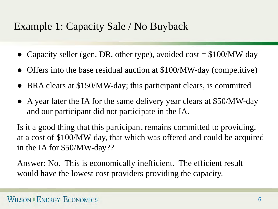### Example 1: Capacity Sale / No Buyback

- Capacity seller (gen, DR, other type), avoided  $cost = $100/MW$ -day
- Offers into the base residual auction at \$100/MW-day (competitive)
- BRA clears at \$150/MW-day; this participant clears, is committed
- A year later the IA for the same delivery year clears at \$50/MW-day and our participant did not participate in the IA.

Is it a good thing that this participant remains committed to providing, at a cost of \$100/MW-day, that which was offered and could be acquired in the IA for \$50/MW-day??

Answer: No. This is economically inefficient. The efficient result would have the lowest cost providers providing the capacity.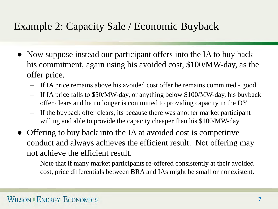# Example 2: Capacity Sale / Economic Buyback

- Now suppose instead our participant offers into the IA to buy back his commitment, again using his avoided cost, \$100/MW-day, as the offer price.
	- If IA price remains above his avoided cost offer he remains committed good
	- If IA price falls to \$50/MW-day, or anything below \$100/MW-day, his buyback offer clears and he no longer is committed to providing capacity in the DY
	- If the buyback offer clears, its because there was another market participant willing and able to provide the capacity cheaper than his \$100/MW-day
- Offering to buy back into the IA at avoided cost is competitive conduct and always achieves the efficient result. Not offering may not achieve the efficient result.
	- Note that if many market participants re-offered consistently at their avoided cost, price differentials between BRA and IAs might be small or nonexistent.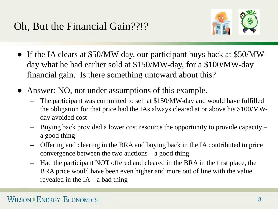

- If the IA clears at \$50/MW-day, our participant buys back at \$50/MWday what he had earlier sold at \$150/MW-day, for a \$100/MW-day financial gain. Is there something untoward about this?
- Answer: NO, not under assumptions of this example.
	- The participant was committed to sell at \$150/MW-day and would have fulfilled the obligation for that price had the IAs always cleared at or above his \$100/MWday avoided cost
	- Buying back provided a lower cost resource the opportunity to provide capacity a good thing
	- Offering and clearing in the BRA and buying back in the IA contributed to price convergence between the two auctions – a good thing
	- Had the participant NOT offered and cleared in the BRA in the first place, the BRA price would have been even higher and more out of line with the value revealed in the  $IA - a$  bad thing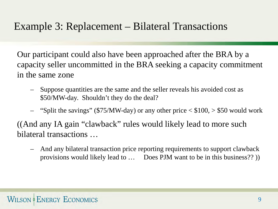# Example 3: Replacement – Bilateral Transactions

Our participant could also have been approached after the BRA by a capacity seller uncommitted in the BRA seeking a capacity commitment in the same zone

- Suppose quantities are the same and the seller reveals his avoided cost as \$50/MW-day. Shouldn't they do the deal?
- "Split the savings" (\$75/MW-day) or any other price  $\langle$  \$100,  $\rangle$  \$50 would work

((And any IA gain "clawback" rules would likely lead to more such bilateral transactions …

– And any bilateral transaction price reporting requirements to support clawback provisions would likely lead to … Does PJM want to be in this business?? ))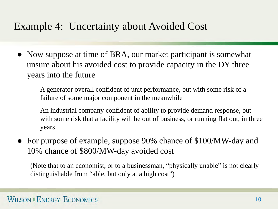### Example 4: Uncertainty about Avoided Cost

- Now suppose at time of BRA, our market participant is somewhat unsure about his avoided cost to provide capacity in the DY three years into the future
	- A generator overall confident of unit performance, but with some risk of a failure of some major component in the meanwhile
	- An industrial company confident of ability to provide demand response, but with some risk that a facility will be out of business, or running flat out, in three years
- For purpose of example, suppose 90% chance of \$100/MW-day and 10% chance of \$800/MW-day avoided cost

(Note that to an economist, or to a businessman, "physically unable" is not clearly distinguishable from "able, but only at a high cost")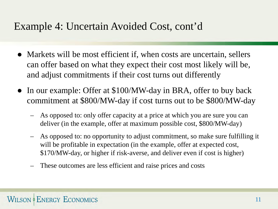## Example 4: Uncertain Avoided Cost, cont'd

- Markets will be most efficient if, when costs are uncertain, sellers can offer based on what they expect their cost most likely will be, and adjust commitments if their cost turns out differently
- In our example: Offer at \$100/MW-day in BRA, offer to buy back commitment at \$800/MW-day if cost turns out to be \$800/MW-day
	- As opposed to: only offer capacity at a price at which you are sure you can deliver (in the example, offer at maximum possible cost, \$800/MW-day)
	- As opposed to: no opportunity to adjust commitment, so make sure fulfilling it will be profitable in expectation (in the example, offer at expected cost, \$170/MW-day, or higher if risk-averse, and deliver even if cost is higher)
	- These outcomes are less efficient and raise prices and costs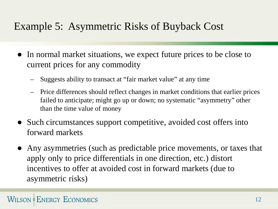# Example 5: Asymmetric Risks of Buyback Cost

- In normal market situations, we expect future prices to be close to current prices for any commodity
	- Suggests ability to transact at "fair market value" at any time
	- Price differences should reflect changes in market conditions that earlier prices failed to anticipate; might go up or down; no systematic "asymmetry" other than the time value of money
- Such circumstances support competitive, avoided cost offers into forward markets
- Any asymmetries (such as predictable price movements, or taxes that apply only to price differentials in one direction, etc.) distort incentives to offer at avoided cost in forward markets (due to asymmetric risks)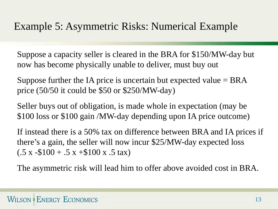## Example 5: Asymmetric Risks: Numerical Example

Suppose a capacity seller is cleared in the BRA for \$150/MW-day but now has become physically unable to deliver, must buy out

Suppose further the IA price is uncertain but expected value  $=$  BRA price (50/50 it could be \$50 or \$250/MW-day)

Seller buys out of obligation, is made whole in expectation (may be \$100 loss or \$100 gain /MW-day depending upon IA price outcome)

If instead there is a 50% tax on difference between BRA and IA prices if there's a gain, the seller will now incur \$25/MW-day expected loss  $(.5 \times -\$100 + .5 \times +\$100 \times .5 \text{ tax})$ 

The asymmetric risk will lead him to offer above avoided cost in BRA.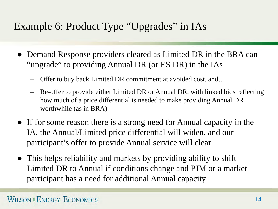# Example 6: Product Type "Upgrades" in IAs

- Demand Response providers cleared as Limited DR in the BRA can "upgrade" to providing Annual DR (or ES DR) in the IAs
	- Offer to buy back Limited DR commitment at avoided cost, and…
	- Re-offer to provide either Limited DR or Annual DR, with linked bids reflecting how much of a price differential is needed to make providing Annual DR worthwhile (as in BRA)
- If for some reason there is a strong need for Annual capacity in the IA, the Annual/Limited price differential will widen, and our participant's offer to provide Annual service will clear
- This helps reliability and markets by providing ability to shift Limited DR to Annual if conditions change and PJM or a market participant has a need for additional Annual capacity

#### **WILSON & ENERGY ECONOMICS**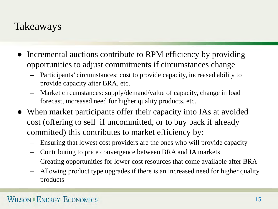## Takeaways

- Incremental auctions contribute to RPM efficiency by providing opportunities to adjust commitments if circumstances change
	- Participants' circumstances: cost to provide capacity, increased ability to provide capacity after BRA, etc.
	- Market circumstances: supply/demand/value of capacity, change in load forecast, increased need for higher quality products, etc.
- When market participants offer their capacity into IAs at avoided cost (offering to sell if uncommitted, or to buy back if already committed) this contributes to market efficiency by:
	- Ensuring that lowest cost providers are the ones who will provide capacity
	- Contributing to price convergence between BRA and IA markets
	- Creating opportunities for lower cost resources that come available after BRA
	- Allowing product type upgrades if there is an increased need for higher quality products

#### **WILSON & ENERGY ECONOMICS**